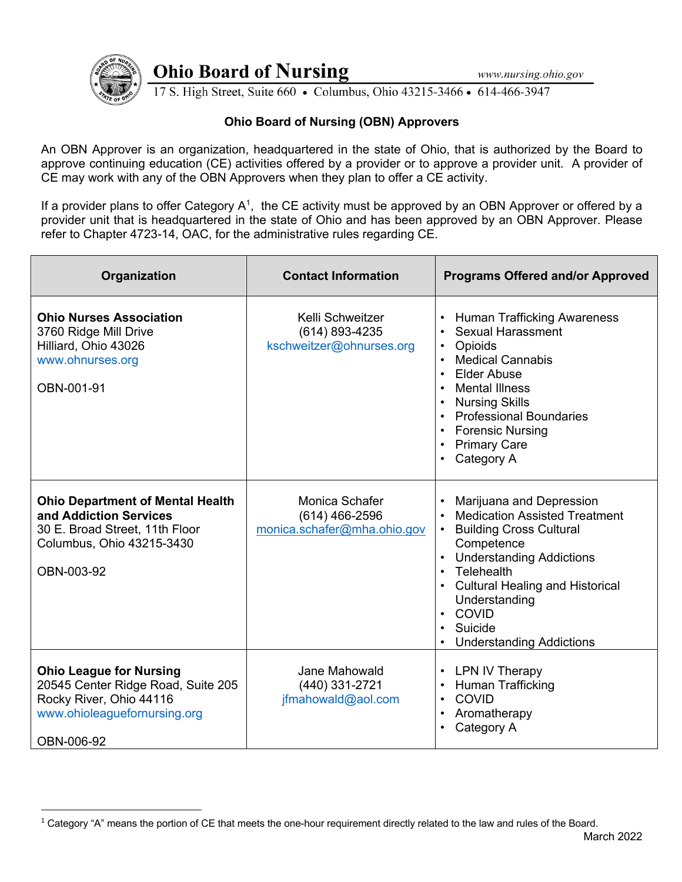

**Ohio Board of Nursing** 

17 S. High Street, Suite 660 • Columbus, Ohio 43215-3466 • 614-466-3947

## **Ohio Board of Nursing (OBN) Approvers**

An OBN Approver is an organization, headquartered in the state of Ohio, that is authorized by the Board to approve continuing education (CE) activities offered by a provider or to approve a provider unit. A provider of CE may work with any of the OBN Approvers when they plan to offer a CE activity.

If a provider plans to offer Category  $A^1$ , the CE activity must be approved by an OBN Approver or offered by a provider unit that is headquartered in the state of Ohio and has been approved by an OBN Approver. Please refer to Chapter 4723-14, OAC, for the administrative rules regarding CE.

| Organization                                                                                                                                   | <b>Contact Information</b>                                        | <b>Programs Offered and/or Approved</b>                                                                                                                                                                                                                                                                  |
|------------------------------------------------------------------------------------------------------------------------------------------------|-------------------------------------------------------------------|----------------------------------------------------------------------------------------------------------------------------------------------------------------------------------------------------------------------------------------------------------------------------------------------------------|
| <b>Ohio Nurses Association</b><br>3760 Ridge Mill Drive<br>Hilliard, Ohio 43026<br>www.ohnurses.org<br>OBN-001-91                              | Kelli Schweitzer<br>(614) 893-4235<br>kschweitzer@ohnurses.org    | <b>Human Trafficking Awareness</b><br><b>Sexual Harassment</b><br>$\bullet$<br>Opioids<br>$\bullet$<br><b>Medical Cannabis</b><br><b>Elder Abuse</b><br><b>Mental Illness</b><br><b>Nursing Skills</b><br><b>Professional Boundaries</b><br><b>Forensic Nursing</b><br><b>Primary Care</b><br>Category A |
| <b>Ohio Department of Mental Health</b><br>and Addiction Services<br>30 E. Broad Street, 11th Floor<br>Columbus, Ohio 43215-3430<br>OBN-003-92 | Monica Schafer<br>$(614)$ 466-2596<br>monica.schafer@mha.ohio.gov | Marijuana and Depression<br><b>Medication Assisted Treatment</b><br><b>Building Cross Cultural</b><br>Competence<br><b>Understanding Addictions</b><br>Telehealth<br><b>Cultural Healing and Historical</b><br>Understanding<br>COVID<br>$\bullet$<br>Suicide<br><b>Understanding Addictions</b>         |
| <b>Ohio League for Nursing</b><br>20545 Center Ridge Road, Suite 205<br>Rocky River, Ohio 44116<br>www.ohioleaguefornursing.org<br>OBN-006-92  | Jane Mahowald<br>(440) 331-2721<br>jfmahowald@aol.com             | <b>LPN IV Therapy</b><br>Human Trafficking<br>$\bullet$<br><b>COVID</b><br>$\bullet$<br>Aromatherapy<br>$\bullet$<br>Category A                                                                                                                                                                          |

 $1$  Category "A" means the portion of CE that meets the one-hour requirement directly related to the law and rules of the Board.